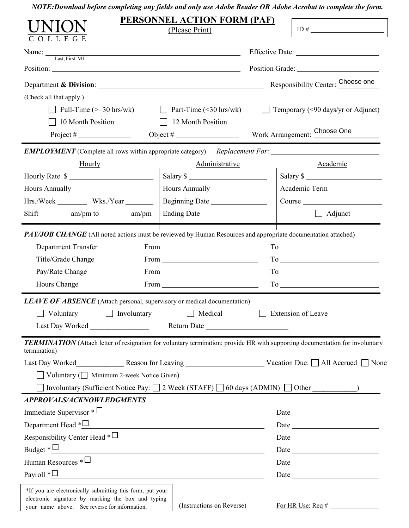*NOTE:Download before completing any fields and only use Adobe Reader OR Adobe Acrobat to complete the form.*

|                                                                                                                                                                                                                 | <b>PERSONNEL ACTION FORM (PAF)</b><br>(Please Print)                                                                                                                                                                                                                                                                                                                                                                                                                                                                                                                                                           |  | ID # $\qquad \qquad$                                                                                                                                                                                                           |
|-----------------------------------------------------------------------------------------------------------------------------------------------------------------------------------------------------------------|----------------------------------------------------------------------------------------------------------------------------------------------------------------------------------------------------------------------------------------------------------------------------------------------------------------------------------------------------------------------------------------------------------------------------------------------------------------------------------------------------------------------------------------------------------------------------------------------------------------|--|--------------------------------------------------------------------------------------------------------------------------------------------------------------------------------------------------------------------------------|
| COLLEGE                                                                                                                                                                                                         |                                                                                                                                                                                                                                                                                                                                                                                                                                                                                                                                                                                                                |  |                                                                                                                                                                                                                                |
| Name: Last, First MI                                                                                                                                                                                            |                                                                                                                                                                                                                                                                                                                                                                                                                                                                                                                                                                                                                |  |                                                                                                                                                                                                                                |
|                                                                                                                                                                                                                 |                                                                                                                                                                                                                                                                                                                                                                                                                                                                                                                                                                                                                |  |                                                                                                                                                                                                                                |
|                                                                                                                                                                                                                 |                                                                                                                                                                                                                                                                                                                                                                                                                                                                                                                                                                                                                |  | Responsibility Center: Choose one                                                                                                                                                                                              |
| (Check all that apply.)                                                                                                                                                                                         |                                                                                                                                                                                                                                                                                                                                                                                                                                                                                                                                                                                                                |  |                                                                                                                                                                                                                                |
| $\Box$ Full-Time (>=30 hrs/wk)                                                                                                                                                                                  | $\Box$ Part-Time (<30 hrs/wk)                                                                                                                                                                                                                                                                                                                                                                                                                                                                                                                                                                                  |  | $\Box$ Temporary (<90 days/yr or Adjunct)                                                                                                                                                                                      |
| 10 Month Position                                                                                                                                                                                               | 12 Month Position<br>$\perp$                                                                                                                                                                                                                                                                                                                                                                                                                                                                                                                                                                                   |  |                                                                                                                                                                                                                                |
|                                                                                                                                                                                                                 |                                                                                                                                                                                                                                                                                                                                                                                                                                                                                                                                                                                                                |  |                                                                                                                                                                                                                                |
| <b>EMPLOYMENT</b> (Complete all rows within appropriate category) Replacement For: ___________________________________                                                                                          |                                                                                                                                                                                                                                                                                                                                                                                                                                                                                                                                                                                                                |  |                                                                                                                                                                                                                                |
| <b>Hourly</b>                                                                                                                                                                                                   | Administrative                                                                                                                                                                                                                                                                                                                                                                                                                                                                                                                                                                                                 |  | Academic                                                                                                                                                                                                                       |
| Hourly Rate \$                                                                                                                                                                                                  | Salary \$                                                                                                                                                                                                                                                                                                                                                                                                                                                                                                                                                                                                      |  | Salary \$                                                                                                                                                                                                                      |
|                                                                                                                                                                                                                 |                                                                                                                                                                                                                                                                                                                                                                                                                                                                                                                                                                                                                |  | Academic Term _______________                                                                                                                                                                                                  |
| Hrs./Week ___________ Wks./Year ________                                                                                                                                                                        | Beginning Date                                                                                                                                                                                                                                                                                                                                                                                                                                                                                                                                                                                                 |  | Course Learner and the course of the course of the course of the course of the course of the course of the course of the course of the course of the course of the course of the course of the course of the course of the cou |
| $Shift \_\_\_am\$ nto $\_\_\_am\$ pm $\ Ending Date \_\_\_\_am\ $                                                                                                                                               |                                                                                                                                                                                                                                                                                                                                                                                                                                                                                                                                                                                                                |  | $\Box$ Adjunct                                                                                                                                                                                                                 |
| Title/Grade Change<br>Pay/Rate Change<br>Hours Change<br><b>LEAVE OF ABSENCE</b> (Attach personal, supervisory or medical documentation)<br>Voluntary Involuntary Medical Extension of Leave<br>Last Day Worked | From $\qquad \qquad$ $\qquad \qquad$ $\qquad \qquad$ $\qquad \qquad$ $\qquad$ $\qquad \qquad$ $\qquad$ $\qquad$ $\qquad$ $\qquad$ $\qquad$ $\qquad$ $\qquad$ $\qquad$ $\qquad$ $\qquad$ $\qquad$ $\qquad$ $\qquad$ $\qquad$ $\qquad$ $\qquad$ $\qquad$ $\qquad$ $\qquad$ $\qquad$ $\qquad$ $\qquad$ $\qquad$ $\qquad$ $\qquad$ $\qquad$ $\qquad$ $\q$<br>From<br>From The Commission of the Commission of the Commission of the Commission of the Commission of the Commission of the Commission of the Commission of the Commission of the Commission of the Commission of the Commission of t<br>Return Date |  | $To \underline{\hspace{1cm}}$                                                                                                                                                                                                  |
| <b>TERMINATION</b> (Attach letter of resignation for voluntary termination; provide HR with supporting documentation for involuntary<br>termination)                                                            |                                                                                                                                                                                                                                                                                                                                                                                                                                                                                                                                                                                                                |  |                                                                                                                                                                                                                                |
| Last Day Worked Reason for Leaving Vacation Due: △ All Accrued △ None<br>Voluntary $\Box$ Minimum 2-week Notice Given)                                                                                          |                                                                                                                                                                                                                                                                                                                                                                                                                                                                                                                                                                                                                |  |                                                                                                                                                                                                                                |
| <b>APPROVALS/ACKNOWLEDGMENTS</b>                                                                                                                                                                                |                                                                                                                                                                                                                                                                                                                                                                                                                                                                                                                                                                                                                |  |                                                                                                                                                                                                                                |
| Immediate Supervisor $*\underline{\Box}$                                                                                                                                                                        |                                                                                                                                                                                                                                                                                                                                                                                                                                                                                                                                                                                                                |  |                                                                                                                                                                                                                                |
| Department Head $* \Box$<br><u> 1989 - Johann Barn, mars eta bat erroman erroman erroman erroman erroman erroman erroman erroman erroman err</u>                                                                |                                                                                                                                                                                                                                                                                                                                                                                                                                                                                                                                                                                                                |  |                                                                                                                                                                                                                                |
|                                                                                                                                                                                                                 |                                                                                                                                                                                                                                                                                                                                                                                                                                                                                                                                                                                                                |  | Date                                                                                                                                                                                                                           |
| Budget $* \underline{\square}$<br><u> 1989 - Johann Barn, amerikan besteman besteman besteman besteman besteman besteman besteman besteman bestema</u>                                                          |                                                                                                                                                                                                                                                                                                                                                                                                                                                                                                                                                                                                                |  |                                                                                                                                                                                                                                |
|                                                                                                                                                                                                                 |                                                                                                                                                                                                                                                                                                                                                                                                                                                                                                                                                                                                                |  |                                                                                                                                                                                                                                |
| Payroll $*$                                                                                                                                                                                                     |                                                                                                                                                                                                                                                                                                                                                                                                                                                                                                                                                                                                                |  |                                                                                                                                                                                                                                |
| *If you are electronically submitting this form, put your<br>electronic signature by marking the box and typing<br>your name above. See reverse for information.                                                | (Instructions on Reverse)                                                                                                                                                                                                                                                                                                                                                                                                                                                                                                                                                                                      |  |                                                                                                                                                                                                                                |